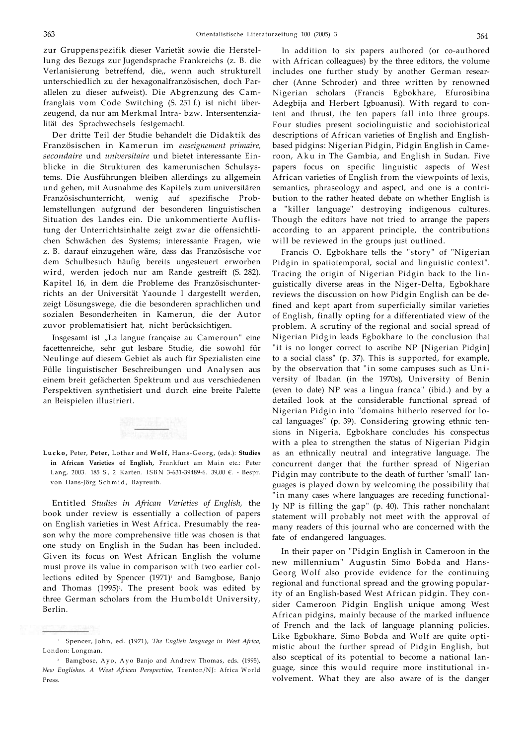zur Gruppenspezifik dieser Varietät sowie die Herstellung des Bezugs zur Jugendsprache Frankreichs (z. B. die Verlanisierung betreffend, die,, wenn auch strukturell unterschiedlich zu der hexagonalfranzösischen, doch Parallelen zu dieser aufweist). Die Abgrenzung des Camfranglais vom Code Switching (S. 251 f.) ist nicht überzeugend, da nur am Merkmal Intra- bzw. Intersentenzialität des Sprachwechsels festgemacht.

Der dritte Teil der Studie behandelt die Didaktik des Französischen in Kamerun im *enseignement primaire, secondaire* und *universitaire* und bietet interessante Einblicke in die Strukturen des kamerunischen Schulsystems. Die Ausführungen bleiben allerdings zu allgemein und gehen, mit Ausnahme des Kapitels zum universitären Französischunterricht, wenig auf spezifische Problemstellungen aufgrund der besonderen linguistischen Situation des Landes ein. Die unkommentierte Auflistung der Unterrichtsinhalte zeigt zwar die offensichtlichen Schwächen des Systems; interessante Fragen, wie z. B. darauf einzugehen wäre, dass das Französische vor dem Schulbesuch häufig bereits ungesteuert erworben wird, werden jedoch nur am Rande gestreift (S. 282). Kapitel 16, in dem die Probleme des Französischunterrichts an der Universität Yaounde I dargestellt werden, zeigt Lösungswege, die die besonderen sprachlichen und sozialen Besonderheiten in Kamerun, die der Autor zuvor problematisiert hat, nicht berücksichtigen.

Insgesamt ist "La langue française au Cameroun" eine facettenreiche, sehr gut lesbare Studie, die sowohl für Neulinge auf diesem Gebiet als auch für Spezialisten eine Fülle linguistischer Beschreibungen und Analysen aus einem breit gefächerten Spektrum und aus verschiedenen Perspektiven synthetisiert und durch eine breite Palette an Beispielen illustriert.



**Lucko ,** Peter, **Peter,** Lothar and **Wolf,** Hans-Georg, (eds.): **Studies in African Varieties of English,** Frankfurt am Main etc.: Peter Lang, 2003. 185 S., 2 Karten. ISB N 3-631-39489-6. 39,00 €. - Bespr. von Hans-Jörg Schmid, Bayreuth.

Entitled *Studies in African Varieties of English,* the book under review is essentially a collection of papers on English varieties in West Africa. Presumably the reason why the more comprehensive title was chosen is that one study on English in the Sudan has been included. Given its focus on West African English the volume must prove its value in comparison with two earlier collections edited by Spencer (1971)<sup>1</sup> and Bamgbose, Banjo and Thomas (1995)<sup>2</sup>. The present book was edited by three German scholars from the Humboldt University, Berlin.

In addition to six papers authored (or co-authored with African colleagues) by the three editors, the volume includes one further study by another German researcher (Anne Schroder) and three written by renowned Nigerian scholars (Francis Egbokhare, Efurosibina Adegbija and Herbert Igboanusi). With regard to content and thrust, the ten papers fall into three groups. Four studies present sociolinguistic and sociohistorical descriptions of African varieties of English and Englishbased pidgins: Nigerian Pidgin, Pidgin English in Cameroon, Ak u in The Gambia, and English in Sudan. Five papers focus on specific linguistic aspects of West African varieties of English from the viewpoints of lexis, semantics, phraseology and aspect, and one is a contribution to the rather heated debate on whether English is a "killer language" destroying indigenous cultures. Though the editors have not tried to arrange the papers according to an apparent principle, the contributions will be reviewed in the groups just outlined.

Francis O. Egbokhare tells the "story" of "Nigerian Pidgin in spatiotemporal, social and linguistic context". Tracing the origin of Nigerian Pidgin back to the linguistically diverse areas in the Niger-Delta, Egbokhare reviews the discussion on how Pidgin English can be defined and kept apart from superficially similar varieties of English, finally opting for a differentiated view of the problem. A scrutiny of the regional and social spread of Nigerian Pidgin leads Egbokhare to the conclusion that "it is no longer correct to ascribe NP [Nigerian Pidgin] to a social class" (p. 37). This is supported, for example, by the observation that "in some campuses such as University of Ibadan (in the 1970s), University of Benin (even to date) NP was a lingua franca" (ibid.) and by a detailed look at the considerable functional spread of Nigerian Pidgin into "domains hitherto reserved for local languages" (p. 39). Considering growing ethnic tensions in Nigeria, Egbokhare concludes his conspectus with a plea to strengthen the status of Nigerian Pidgin as an ethnically neutral and integrative language. The concurrent danger that the further spread of Nigerian Pidgin may contribute to the death of further 'small' languages is played down by welcoming the possibility that " in many cases where languages are receding functionally NP is filling the gap" (p. 40). This rather nonchalant statement will probably not meet with the approval of many readers of this journal who are concerned with the fate of endangered languages.

In their paper on "Pidgin English in Cameroon in the new millennium" Augustin Simo Bobda and Hans-Georg Wolf also provide evidence for the continuing regional and functional spread and the growing popularity of an English-based West African pidgin. They consider Cameroon Pidgin English unique among West African pidgins, mainly because of the marked influence of French and the lack of language planning policies. Like Egbokhare, Simo Bobda and Wolf are quite optimistic about the further spread of Pidgin English, but also sceptical of its potential to become a national language, since this would require more institutional involvement. What they are also aware of is the danger

<sup>1</sup> Spencer, John, ed. (1971), *The English language in West Africa,*  London: Longman.

<sup>2</sup> Bamgbose, Ayo , Ay o Banjo and Andrew Thomas, eds. (1995), *New Englishes. A West African Perspective,* Trenton/NJ: Africa World Press.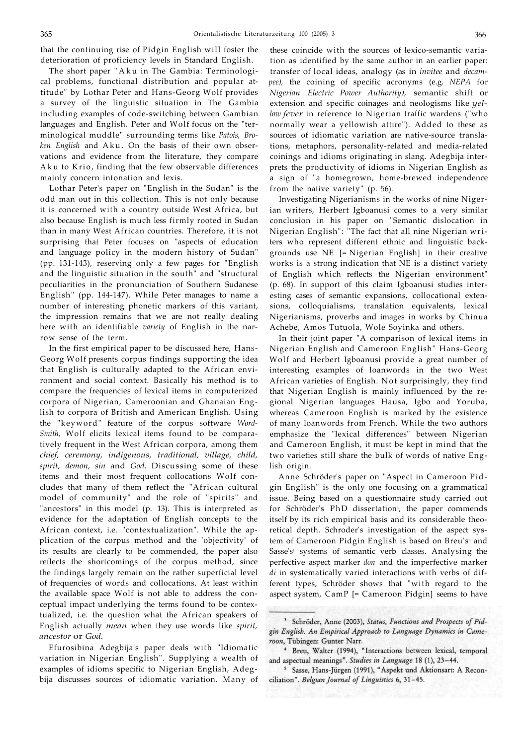that the continuing rise of Pidgin English will foster the deterioration of proficiency levels in Standard English.

The short paper "Ak u in The Gambia: Terminological problems, functional distribution and popular attitude" by Lothar Peter and Hans-Georg Wolf provides a survey of the linguistic situation in The Gambia including examples of code-switching between Gambian languages and English. Peter and Wolf focus on the "terminological muddle" surrounding terms like *Patois, Broken English* and Aku . On the basis of their own observations and evidence from the literature, they compare Aku to Krio, finding that the few observable differences mainly concern intonation and lexis.

Lothar Peter's paper on "English in the Sudan" is the odd man out in this collection. This is not only because it is concerned with a country outside West Africa, but also because English is much less firmly rooted in Sudan than in many West African countries. Therefore, it is not surprising that Peter focuses on "aspects of education and language policy in the modern history of Sudan" (pp. 131-143), reserving only a few pages for "English and the linguistic situation in the south" and "structural peculiarities in the pronunciation of Southern Sudanese English" (pp. 144-147). While Peter manages to name a number of interesting phonetic markers of this variant, the impression remains that we are not really dealing here with an identifiable *variety* of English in the narrow sense of the term.

In the first empirical paper to be discussed here, Hans-Georg Wolf presents corpus findings supporting the idea that English is culturally adapted to the African environment and social context. Basically his method is to compare the frequencies of lexical items in computerized corpora of Nigerian, Cameroonian and Ghanaian English to corpora of British and American English. Using the "keyword" feature of the corpus software *Word-Smith,* Wolf elicits lexical items found to be comparatively frequent in the West African corpora, among them *chief, ceremony, indigenous, traditional, village, child, spirit, demon, sin* and *God.* Discussing some of these items and their most frequent collocations Wolf concludes that many of them reflect the "African cultural model of community" and the role of "spirits" and "ancestors" in this model (p. 13). This is interpreted as evidence for the adaptation of English concepts to the African context, i.e. "contextualization". While the application of the corpus method and the 'objectivity' of its results are clearly to be commended, the paper also reflects the shortcomings of the corpus method, since the findings largely remain on the rather superficial level of frequencies of words and collocations. At least within the available space Wolf is not able to address the conceptual impact underlying the terms found to be contextualized, i.e. the question what the African speakers of English actually *mean* when they use words like *spirit, ancestor* or *God.* 

Efurosibina Adegbija's paper deals with "Idiomatic variation in Nigerian English". Supplying a wealth of examples of idioms specific to Nigerian English, Adegbija discusses sources of idiomatic variation. Many of

these coincide with the sources of lexico-semantic variation as identified by the same author in an earlier paper: transfer of local ideas, analogy (as in *invitee* and *decampee),* the coining of specific acronyms (e.g. *NEPA* for *Nigerian Electric Power Authority),* semantic shift or extension and specific coinages and neologisms like *yellow fever* in reference to Nigerian traffic wardens ("who normally wear a yellowish attire"). Added to these as sources of idiomatic variation are native-source translations, metaphors, personality-related and media-related coinings and idioms originating in slang. Adegbija interprets the productivity of idioms in Nigerian English as a sign of "a homegrown, home-brewed independence from the native variety" (p. 56).

Investigating Nigerianisms in the works of nine Nigerian writers, Herbert Igboanusi comes to a very similar conclusion in his paper on "Semantic dislocation in Nigerian English": "The fact that all nine Nigerian writers who represent different ethnic and linguistic backgrounds use NE [= Nigerian English] in their creative works is a strong indication that NE is a distinct variety of English which reflects the Nigerian environment" (p. 68). In support of this claim Igboanusi studies interesting cases of semantic expansions, collocational extensions, colloquialisms, translation equivalents, lexical Nigerianisms, proverbs and images in works by Chinua Achebe, Amos Tutuola, Wole Soyinka and others.

In their joint paper "A comparison of lexical items in Nigerian English and Cameroon English" Hans-Georg Wolf and Herbert Igboanusi provide a great number of interesting examples of loanwords in the two West African varieties of English. Not surprisingly, they find that Nigerian English is mainly influenced by the regional Nigerian languages Hausa, Igbo and Yoruba, whereas Cameroon English is marked by the existence of many loanwords from French. While the two authors emphasize the "lexical differences" between Nigerian and Cameroon English, it must be kept in mind that the two varieties still share the bulk of words of native English origin.

Anne Schröder's paper on "Aspect in Cameroon Pidgin English" is the only one focusing on a grammatical issue. Being based on a questionnaire study carried out for Schröder's PhD dissertation<sup>3</sup>, the paper commends itself by its rich empirical basis and its considerable theoretical depth. Schroder's investigation of the aspect system of Cameroon Pidgin English is based on Breu's<sub>4</sub> and Sasse's<sup>5</sup> systems of semantic verb classes. Analysing the perfective aspect marker *don* and the imperfective marker *di* in systematically varied interactions with verbs of different types, Schröder shows that "with regard to the aspect system, CamP [= Cameroon Pidgin] seems to have

<sup>&</sup>lt;sup>3</sup> Schröder, Anne (2003), Status, Functions and Prospects of Pidgin English. An Empirical Approach to Language Dynamics in Cameroon, Tübingen: Gunter Narr.

<sup>&</sup>lt;sup>4</sup> Breu, Walter (1994), "Interactions between lexical, temporal and aspectual meanings". Studies in Language 18 (1), 23-44.

<sup>&</sup>lt;sup>5</sup> Sasse, Hans-Jürgen (1991), "Aspekt und Aktionsart: A Reconciliation". Belgian Journal of Linguistics 6, 31-45.